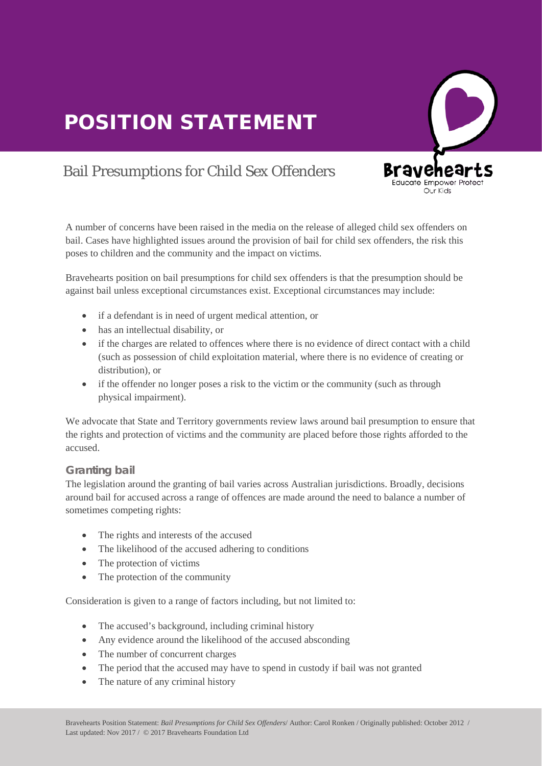

# Bail Presumptions for Child Sex Offenders

A number of concerns have been raised in the media on the release of alleged child sex offenders on bail. Cases have highlighted issues around the provision of bail for child sex offenders, the risk this poses to children and the community and the impact on victims.

Bravehearts position on bail presumptions for child sex offenders is that the presumption should be against bail unless exceptional circumstances exist. Exceptional circumstances may include:

- if a defendant is in need of urgent medical attention, or
- has an intellectual disability, or
- if the charges are related to offences where there is no evidence of direct contact with a child (such as possession of child exploitation material, where there is no evidence of creating or distribution), or
- if the offender no longer poses a risk to the victim or the community (such as through physical impairment).

We advocate that State and Territory governments review laws around bail presumption to ensure that the rights and protection of victims and the community are placed before those rights afforded to the accused.

# **Granting bail**

The legislation around the granting of bail varies across Australian jurisdictions. Broadly, decisions around bail for accused across a range of offences are made around the need to balance a number of sometimes competing rights:

- The rights and interests of the accused
- The rights and interests of the accused<br>• The likelihood of the accused adhering to conditions
- The protection of victims
- The protection of the community

Consideration is given to a range of factors including, but not limited to:

- The accused's background, including criminal history
- Any evidence around the likelihood of the accused absconding
- The number of concurrent charges
- The period that the accused may have to spend in custody if bail was not granted
- The nature of any criminal history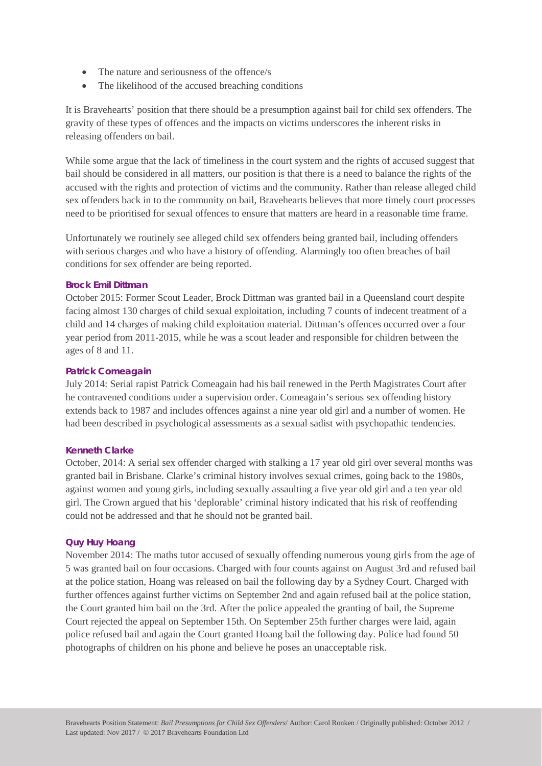- The nature and seriousness of the offence/s
- The likelihood of the accused breaching conditions

It is Bravehearts' position that there should be a presumption against bail for child sex offenders. The gravity of these types of offences and the impacts on victims underscores the inherent risks in releasing offenders on bail.

While some argue that the lack of timeliness in the court system and the rights of accused suggest that bail should be considered in all matters, our position is that there is a need to balance the rights of the accused with the rights and protection of victims and the community. Rather than release alleged child sex offenders back in to the community on bail, Bravehearts believes that more timely court processes need to be prioritised for sexual offences to ensure that matters are heard in a reasonable time frame.

Unfortunately we routinely see alleged child sex offenders being granted bail, including offenders with serious charges and who have a history of offending. Alarmingly too often breaches of bail conditions for sex offender are being reported.

#### **Brock Emil Dittman**

October 2015: Former Scout Leader, Brock Dittman was granted bail in a Queensland court despite facing almost 130 charges of child sexual exploitation, including 7 counts of indecent treatment of a child and 14 charges of making child exploitation material. Dittman's offences occurred over a four year period from 2011-2015, while he was a scout leader and responsible for children between the ages of 8 and 11.

#### **Patrick Comeagain**

July 2014: Serial rapist Patrick Comeagain had his bail renewed in the Perth Magistrates Court after he contravened conditions under a supervision order. Comeagain's serious sex offending history extends back to 1987 and includes offences against a nine year old girl and a number of women. He had been described in psychological assessments as a sexual sadist with psychopathic tendencies.

#### **Kenneth Clarke**

October, 2014: A serial sex offender charged with stalking a 17 year old girl over several months was granted bail in Brisbane. Clarke's criminal history involves sexual crimes, going back to the 1980s, against women and young girls, including sexually assaulting a five year old girl and a ten year old girl. The Crown argued that his 'deplorable' criminal history indicated that his risk of reoffending could not be addressed and that he should not be granted bail.

## **Quy Huy Hoang**

November 2014: The maths tutor accused of sexually offending numerous young girls from the age of 5 was granted bail on four occasions. Charged with four counts against on August 3rd and refused bail at the police station, Hoang was released on bail the following day by a Sydney Court. Charged with further offences against further victims on September 2nd and again refused bail at the police station, the Court granted him bail on the 3rd. After the police appealed the granting of bail, the Supreme Court rejected the appeal on September 15th. On September 25th further charges were laid, again police refused bail and again the Court granted Hoang bail the following day. Police had found 50 photographs of children on his phone and believe he poses an unacceptable risk.